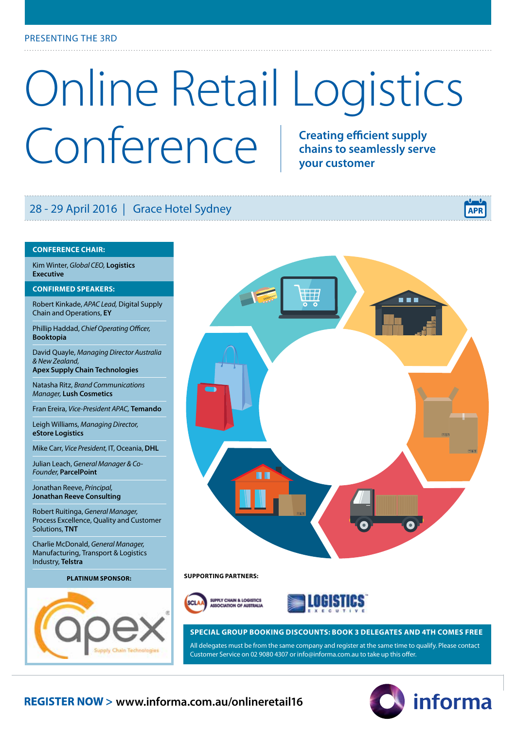# Online Retail Logistics Conference **Conference chains to seamlessly serve your customer**

### 28 - 29 April 2016 | Grace Hotel Sydney

#### **CONFERENCE CHAIR:**

Kim Winter, *Global CEO,* **Logistics Executive**

#### **CONFIRMED SPEAKERS:**

Robert Kinkade, *APAC Lead,* Digital Supply Chain and Operations, **EY**

Phillip Haddad, *Chief Operating Officer,* **Booktopia**

David Quayle, *Managing Director Australia & New Zealand,* **Apex Supply Chain Technologies**

Natasha Ritz, *Brand Communications* 

*Manager,* **Lush Cosmetics**

Fran Ereira, *Vice-President APAC,* **Temando**

Leigh Williams, *Managing Director,* **eStore Logistics** 

Mike Carr, *Vice President*, IT, Oceania, **DHL**

Julian Leach, *General Manager & Co-Founder,* **ParcelPoint** 

Jonathan Reeve, *Principal,* **Jonathan Reeve Consulting**

Robert Ruitinga, *General Manager,*  Process Excellence, Quality and Customer Solutions, **TNT**

Charlie McDonald, *General Manager,*  Manufacturing, Transport & Logistics Industry, **Telstra**





#### **SUPPORTING PARTNERS: PLATINUM SPONSOR:**





#### **SPECIAL GROUP BOOKING DISCOUNTS: BOOK 3 DELEGATES AND 4TH COMES FREE**

All delegates must be from the same company and register at the same time to qualify. Please contact Customer Service on 02 9080 4307 or info@informa.com.au to take up this offer.

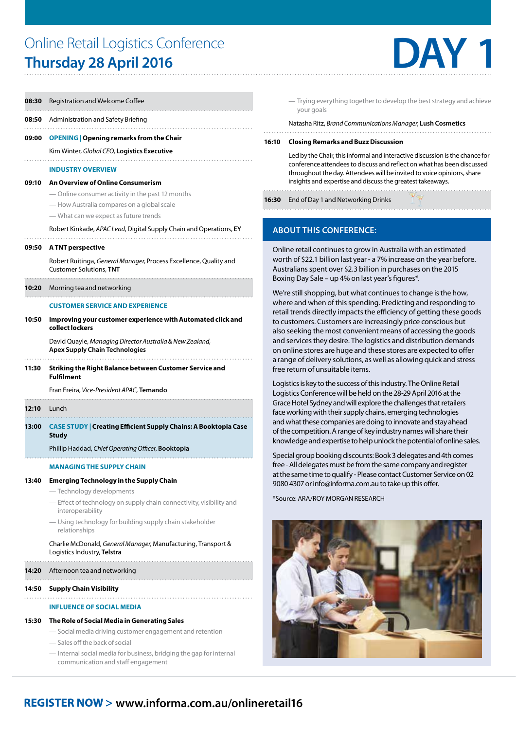### Online Retail Logistics Conference **Thursday 28 April 2016**



| 08:30 | Registration and Welcome Coffee                                                                           |  |  |  |  |  |  |
|-------|-----------------------------------------------------------------------------------------------------------|--|--|--|--|--|--|
|       | <b>08:50</b> Administration and Safety Briefing                                                           |  |  |  |  |  |  |
| 09:00 | <b>OPENING   Opening remarks from the Chair</b>                                                           |  |  |  |  |  |  |
|       | Kim Winter, Global CEO, Logistics Executive                                                               |  |  |  |  |  |  |
|       | <b>INDUSTRY OVERVIEW</b>                                                                                  |  |  |  |  |  |  |
| 09:10 | An Overview of Online Consumerism                                                                         |  |  |  |  |  |  |
|       | — Online consumer activity in the past 12 months                                                          |  |  |  |  |  |  |
|       | — How Australia compares on a global scale                                                                |  |  |  |  |  |  |
|       | - What can we expect as future trends                                                                     |  |  |  |  |  |  |
|       | Robert Kinkade, APAC Lead, Digital Supply Chain and Operations, EY                                        |  |  |  |  |  |  |
| 09:50 | A TNT perspective                                                                                         |  |  |  |  |  |  |
|       | Robert Ruitinga, General Manager, Process Excellence, Quality and<br><b>Customer Solutions, TNT</b>       |  |  |  |  |  |  |
| 10:20 | Morning tea and networking                                                                                |  |  |  |  |  |  |
|       | <b>CUSTOMER SERVICE AND EXPERIENCE</b>                                                                    |  |  |  |  |  |  |
| 10:50 | Improving your customer experience with Automated click and<br>collect lockers                            |  |  |  |  |  |  |
|       | David Quayle, Managing Director Australia & New Zealand,<br><b>Apex Supply Chain Technologies</b>         |  |  |  |  |  |  |
| 11:30 | Striking the Right Balance between Customer Service and<br><b>Fulfilment</b>                              |  |  |  |  |  |  |
|       | Fran Ereira, Vice-President APAC, <b>Temando</b>                                                          |  |  |  |  |  |  |
| 12:10 | Lunch                                                                                                     |  |  |  |  |  |  |
| 13:00 | <b>CASE STUDY   Creating Efficient Supply Chains: A Booktopia Case</b><br><b>Study</b>                    |  |  |  |  |  |  |
|       | Phillip Haddad, Chief Operating Officer, Booktopia                                                        |  |  |  |  |  |  |
|       | MANAGING THE SUPPLY CHAIN                                                                                 |  |  |  |  |  |  |
| 13:40 | <b>Emerging Technology in the Supply Chain</b>                                                            |  |  |  |  |  |  |
|       | - Technology developments                                                                                 |  |  |  |  |  |  |
|       | - Effect of technology on supply chain connectivity, visibility and<br>interoperability                   |  |  |  |  |  |  |
|       | - Using technology for building supply chain stakeholder<br>relationships                                 |  |  |  |  |  |  |
|       | Charlie McDonald, General Manager, Manufacturing, Transport &<br>Logistics Industry, Telstra              |  |  |  |  |  |  |
| 14:20 | Afternoon tea and networking                                                                              |  |  |  |  |  |  |
| 14:50 | <b>Supply Chain Visibility</b>                                                                            |  |  |  |  |  |  |
|       | <b>INFLUENCE OF SOCIAL MEDIA</b>                                                                          |  |  |  |  |  |  |
| 15:30 | The Role of Social Media in Generating Sales                                                              |  |  |  |  |  |  |
|       | - Social media driving customer engagement and retention                                                  |  |  |  |  |  |  |
|       | - Sales off the back of social                                                                            |  |  |  |  |  |  |
|       | - Internal social media for business, bridging the gap for internal<br>communication and staff engagement |  |  |  |  |  |  |

— Trying everything together to develop the best strategy and achieve your goals

Natasha Ritz, *Brand Communications Manager*, **Lush Cosmetics** 

#### **16:10 Closing Remarks and Buzz Discussion**

 Led by the Chair, this informal and interactive discussion is the chance for conference attendees to discuss and reflect on what has been discussed throughout the day. Attendees will be invited to voice opinions, share insights and expertise and discuss the greatest takeaways.

**16:30** End of Day 1 and Networking Drinks

#### **ABOUT THIS CONFERENCE:**

Online retail continues to grow in Australia with an estimated worth of \$22.1 billion last year - a 7% increase on the year before. Australians spent over \$2.3 billion in purchases on the 2015 Boxing Day Sale – up 4% on last year's figures\*.

We're still shopping, but what continues to change is the how, where and when of this spending. Predicting and responding to retail trends directly impacts the efficiency of getting these goods to customers. Customers are increasingly price conscious but also seeking the most convenient means of accessing the goods and services they desire. The logistics and distribution demands on online stores are huge and these stores are expected to offer a range of delivery solutions, as well as allowing quick and stress free return of unsuitable items.

Logistics is key to the success of this industry. The Online Retail Logistics Conference will be held on the 28-29 April 2016 at the Grace Hotel Sydney and will explore the challenges that retailers face working with their supply chains, emerging technologies and what these companies are doing to innovate and stay ahead of the competition. A range of key industry names will share their knowledge and expertise to help unlock the potential of online sales.

Special group booking discounts: Book 3 delegates and 4th comes free - All delegates must be from the same company and register at the same time to qualify - Please contact Customer Service on 02 9080 4307 or info@informa.com.au to take up this offer.

\*Source: ARA/ROY MORGAN RESEARCH



### **www.informa.com.au/onlineretail16**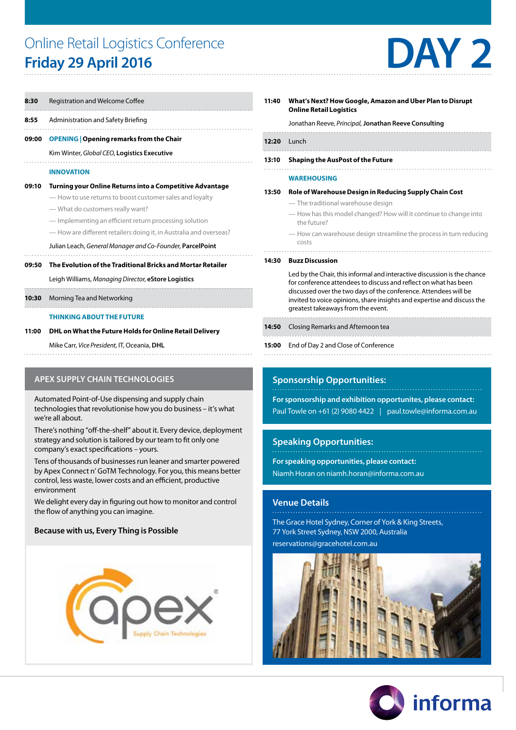## Online Retail Logistics Conference Online Retail Logistics Conference<br> **Friday 29 April 2016**



| 8:30  | Registration and Welcome Coffee                                                                                                                                                                                                                                                          |  |  |  |  |
|-------|------------------------------------------------------------------------------------------------------------------------------------------------------------------------------------------------------------------------------------------------------------------------------------------|--|--|--|--|
| 8:55  | Administration and Safety Briefing                                                                                                                                                                                                                                                       |  |  |  |  |
| 09:00 | <b>OPENING</b>   Opening remarks from the Chair                                                                                                                                                                                                                                          |  |  |  |  |
|       | Kim Winter, Global CEO, Logistics Executive                                                                                                                                                                                                                                              |  |  |  |  |
|       | <b>INNOVATION</b>                                                                                                                                                                                                                                                                        |  |  |  |  |
| 09:10 | Turning your Online Returns into a Competitive Advantage<br>- How to use returns to boost customer sales and loyalty<br>— What do customers really want?<br>— Implementing an efficient return processing solution<br>- How are different retailers doing it, in Australia and overseas? |  |  |  |  |
|       | Julian Leach, General Manager and Co-Founder, ParcelPoint<br>The Fuelotion of the Traditional Dright and Marton Detailer                                                                                                                                                                 |  |  |  |  |

#### **09:50 The Evolution of the Traditional Bricks and Mortar Retailer**

Leigh Williams, *Managing Director*, **eStore Logistics**

**10:30** Morning Tea and Networking

#### **THINKING ABOUT THE FUTURE**

#### **11:00 DHL on What the Future Holds for Online Retail Delivery**

Mike Carr, *Vice President,* IT, Oceania, **DHL**  

#### **APEX SUPPLY CHAIN TECHNOLOGIES**

Automated Point-of-Use dispensing and supply chain technologies that revolutionise how you do business – it's what we're all about.

There's nothing "off-the-shelf" about it. Every device, deployment strategy and solution is tailored by our team to fit only one company's exact specifications – yours.

Tens of thousands of businesses run leaner and smarter powered by Apex Connect n' GoTM Technology. For you, this means better control, less waste, lower costs and an efficient, productive environment

We delight every day in figuring out how to monitor and control the flow of anything you can imagine.

#### **Because with us, Every Thing is Possible**



| 11:40 | What's Next? How Google, Amazon and Uber Plan to Disrupt<br><b>Online Retail Logistics</b>   |  |  |  |  |  |
|-------|----------------------------------------------------------------------------------------------|--|--|--|--|--|
|       | Jonathan Reeve, Principal, Jonathan Reeve Consulting                                         |  |  |  |  |  |
| 12:20 | <b>Lunch</b>                                                                                 |  |  |  |  |  |
| 13:10 | <b>Shaping the AusPost of the Future</b>                                                     |  |  |  |  |  |
|       | <b>WAREHOUSING</b>                                                                           |  |  |  |  |  |
| 13:50 | Role of Warehouse Design in Reducing Supply Chain Cost<br>- The traditional warehouse design |  |  |  |  |  |
|       | — How has this model changed? How will it continue to change into<br>The future?             |  |  |  |  |  |

— How can warehouse design streamline the process in turn reducing costs

#### **14:30 Buzz Discussion**

 Led by the Chair, this informal and interactive discussion is the chance for conference attendees to discuss and reflect on what has been discussed over the two days of the conference. Attendees will be invited to voice opinions, share insights and expertise and discuss the greatest takeaways from the event.

- **14:50** Closing Remarks and Afternoon tea
- 
- **15:00** End of Day 2 and Close of Conference

#### **Sponsorship Opportunities:**

**For sponsorship and exhibition opportunites, please contact:** Paul Towle on +61 (2) 9080 4422 | paul.towle@informa.com.au

#### **Speaking Opportunities:**

**For speaking opportunities, please contact:** 

Niamh Horan on niamh.horan@informa.com.au

#### **Venue Details**

The Grace Hotel Sydney, Corner of York & King Streets, 77 York Street Sydney, NSW 2000, Australia reservations@gracehotel.com.au